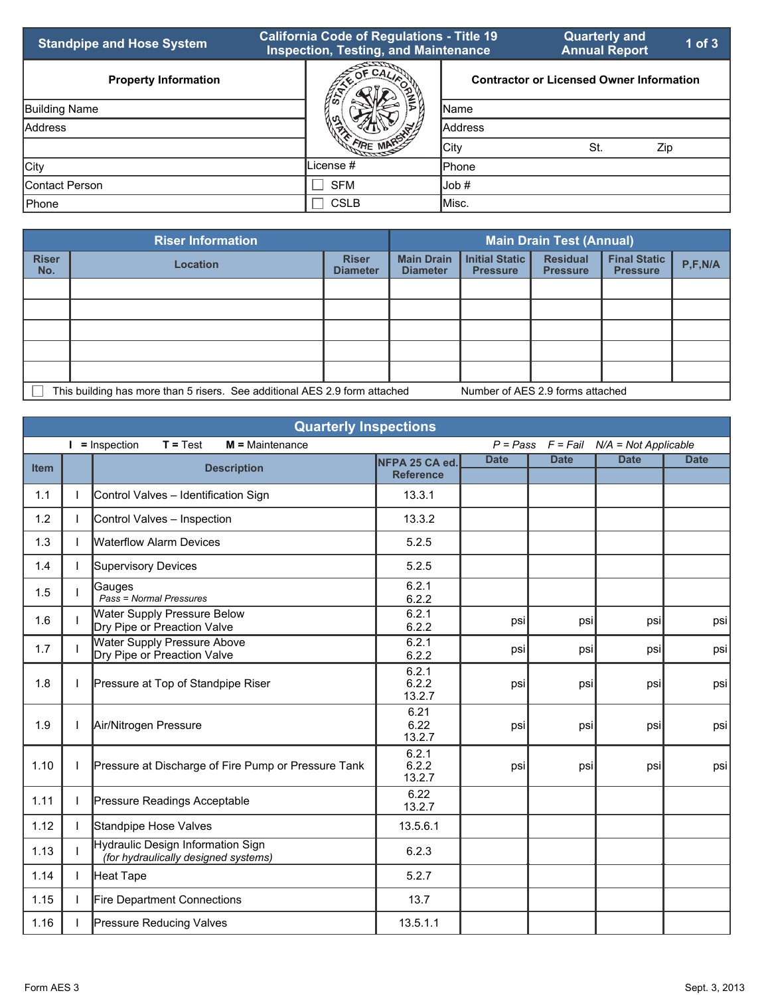| <b>Standpipe and Hose System</b> | <b>California Code of Regulations - Title 19</b><br><b>Inspection, Testing, and Maintenance</b> |                | <b>Quarterly and</b><br><b>Annual Report</b>    | $1$ of $3$ |
|----------------------------------|-------------------------------------------------------------------------------------------------|----------------|-------------------------------------------------|------------|
| <b>Property Information</b>      | $OF$ CA <sub><math>\overline{L}</math></sub>                                                    |                | <b>Contractor or Licensed Owner Information</b> |            |
| Building Name                    | ₩                                                                                               | <b>I</b> Name  |                                                 |            |
| Address                          |                                                                                                 | <b>Address</b> |                                                 |            |
|                                  |                                                                                                 | City           | St.<br>Zip                                      |            |
| City                             | License #                                                                                       | <b>I</b> Phone |                                                 |            |
| IContact Person                  | <b>SFM</b>                                                                                      | Job #          |                                                 |            |
| <b>Phone</b>                     | <b>CSLB</b>                                                                                     | <b>I</b> Misc. |                                                 |            |

|                     | <b>Riser Information</b>                                                   | <b>Main Drain Test (Annual)</b> |                                      |                                          |                                    |                                        |           |
|---------------------|----------------------------------------------------------------------------|---------------------------------|--------------------------------------|------------------------------------------|------------------------------------|----------------------------------------|-----------|
| <b>Riser</b><br>No. | <b>Location</b>                                                            | <b>Riser</b><br><b>Diameter</b> | <b>Main Drain</b><br><b>Diameter</b> | <b>Initial Static</b><br><b>Pressure</b> | <b>Residual</b><br><b>Pressure</b> | <b>Final Static</b><br><b>Pressure</b> | P, F, N/A |
|                     |                                                                            |                                 |                                      |                                          |                                    |                                        |           |
|                     |                                                                            |                                 |                                      |                                          |                                    |                                        |           |
|                     |                                                                            |                                 |                                      |                                          |                                    |                                        |           |
|                     |                                                                            |                                 |                                      |                                          |                                    |                                        |           |
|                     |                                                                            |                                 |                                      |                                          |                                    |                                        |           |
|                     | This building has more than 5 risers. See additional AES 2.9 form attached |                                 | Number of AES 2.9 forms attached     |                                          |                                    |                                        |           |

| <b>Quarterly Inspections</b> |  |                                                                           |                                    |                                              |             |             |             |
|------------------------------|--|---------------------------------------------------------------------------|------------------------------------|----------------------------------------------|-------------|-------------|-------------|
|                              |  | $T = Test$<br>$I =$ Inspection<br>$M =$ Maintenance                       |                                    | $P = Pass$ $F = Fail$ $N/A = Not Applicable$ |             |             |             |
| <b>Item</b>                  |  | <b>Description</b>                                                        | NFPA 25 CA ed.<br><b>Reference</b> | <b>Date</b>                                  | <b>Date</b> | <b>Date</b> | <b>Date</b> |
| 1.1                          |  | Control Valves - Identification Sign                                      | 13.3.1                             |                                              |             |             |             |
| 1.2                          |  | Control Valves - Inspection                                               | 13.3.2                             |                                              |             |             |             |
| 1.3                          |  | <b>Waterflow Alarm Devices</b>                                            | 5.2.5                              |                                              |             |             |             |
| 1.4                          |  | Supervisory Devices                                                       | 5.2.5                              |                                              |             |             |             |
| 1.5                          |  | Gauges<br>Pass = Normal Pressures                                         | 6.2.1<br>6.2.2                     |                                              |             |             |             |
| 1.6                          |  | Water Supply Pressure Below<br>Dry Pipe or Preaction Valve                | 6.2.1<br>6.2.2                     | psi                                          | psi         | psi         | psi         |
| 1.7                          |  | <b>Water Supply Pressure Above</b><br>Dry Pipe or Preaction Valve         | 6.2.1<br>6.2.2                     | psi                                          | psi         | psi         | psi         |
| 1.8                          |  | Pressure at Top of Standpipe Riser                                        | 6.2.1<br>6.2.2<br>13.2.7           | psi                                          | psi         | psi         | psi         |
| 1.9                          |  | Air/Nitrogen Pressure                                                     | 6.21<br>6.22<br>13.2.7             | psi                                          | psi         | psi         | psi         |
| 1.10                         |  | Pressure at Discharge of Fire Pump or Pressure Tank                       | 6.2.1<br>6.2.2<br>13.2.7           | psi                                          | psi         | psi         | psi         |
| 1.11                         |  | Pressure Readings Acceptable                                              | 6.22<br>13.2.7                     |                                              |             |             |             |
| 1.12                         |  | Standpipe Hose Valves                                                     | 13.5.6.1                           |                                              |             |             |             |
| 1.13                         |  | Hydraulic Design Information Sign<br>(for hydraulically designed systems) | 6.2.3                              |                                              |             |             |             |
| 1.14                         |  | Heat Tape                                                                 | 5.2.7                              |                                              |             |             |             |
| 1.15                         |  | Fire Department Connections                                               | 13.7                               |                                              |             |             |             |
| 1.16                         |  | <b>Pressure Reducing Valves</b>                                           | 13.5.1.1                           |                                              |             |             |             |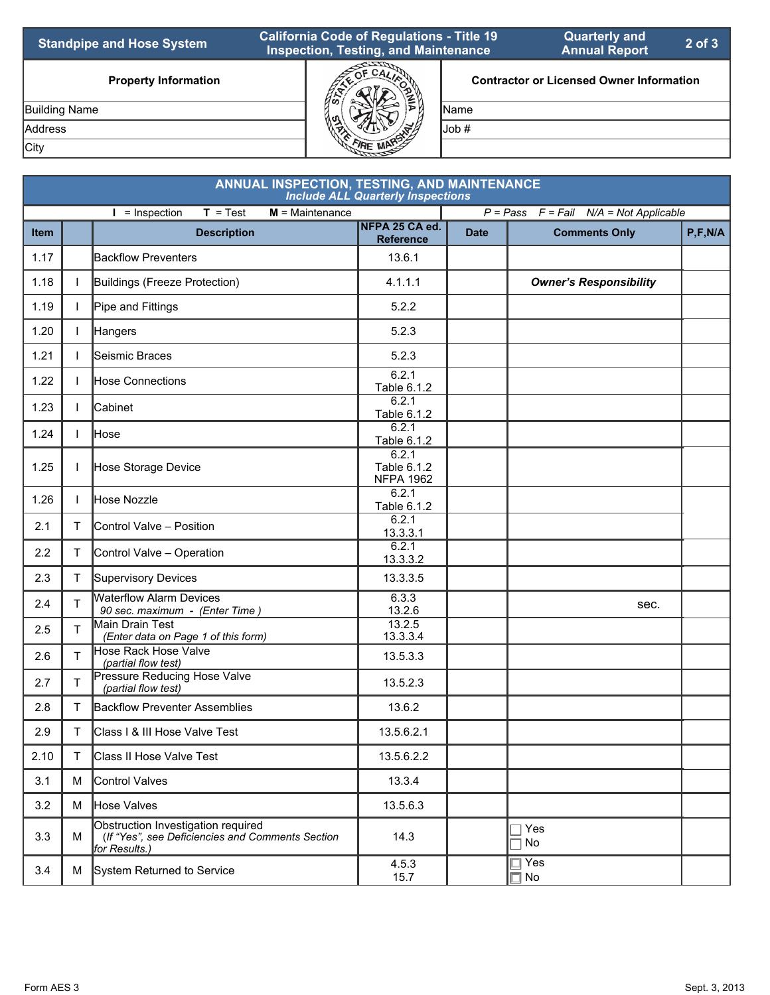| <b>Standpipe and Hose System</b> | <b>California Code of Regulations - Title 19</b><br><b>Inspection, Testing, and Maintenance</b> |               | <b>Quarterly and</b><br><b>Annual Report</b>    | $2$ of $3$ |
|----------------------------------|-------------------------------------------------------------------------------------------------|---------------|-------------------------------------------------|------------|
| <b>Property Information</b>      |                                                                                                 |               | <b>Contractor or Licensed Owner Information</b> |            |
| <b>Building Name</b>             |                                                                                                 | <b>I</b> Name |                                                 |            |
| <b>Address</b>                   |                                                                                                 | lJob #        |                                                 |            |
| City                             |                                                                                                 |               |                                                 |            |

|             | <b>ANNUAL INSPECTION, TESTING, AND MAINTENANCE</b><br><b>Include ALL Quarterly Inspections</b> |                                                                                                         |                                          |             |                                              |           |  |  |
|-------------|------------------------------------------------------------------------------------------------|---------------------------------------------------------------------------------------------------------|------------------------------------------|-------------|----------------------------------------------|-----------|--|--|
|             |                                                                                                | $T = Test$<br>$M =$ Maintenance<br>$I =$ Inspection                                                     |                                          |             | $P = Pass$ $F = Fail$ $N/A = Not Applicable$ |           |  |  |
| <b>Item</b> |                                                                                                | <b>Description</b>                                                                                      | NFPA 25 CA ed.<br><b>Reference</b>       | <b>Date</b> | <b>Comments Only</b>                         | P, F, N/A |  |  |
| 1.17        |                                                                                                | <b>Backflow Preventers</b>                                                                              | 13.6.1                                   |             |                                              |           |  |  |
| 1.18        | $\mathbf{L}$                                                                                   | Buildings (Freeze Protection)                                                                           | 4.1.1.1                                  |             | <b>Owner's Responsibility</b>                |           |  |  |
| 1.19        |                                                                                                | Pipe and Fittings                                                                                       | 5.2.2                                    |             |                                              |           |  |  |
| 1.20        | $\mathbf{L}$                                                                                   | Hangers                                                                                                 | 5.2.3                                    |             |                                              |           |  |  |
| 1.21        |                                                                                                | Seismic Braces                                                                                          | 5.2.3                                    |             |                                              |           |  |  |
| 1.22        |                                                                                                | Hose Connections                                                                                        | 6.2.1<br>Table 6.1.2                     |             |                                              |           |  |  |
| 1.23        | $\mathbf{L}$                                                                                   | Cabinet                                                                                                 | 6.2.1<br>Table 6.1.2                     |             |                                              |           |  |  |
| 1.24        | I.                                                                                             | Hose                                                                                                    | 6.2.1<br>Table 6.1.2                     |             |                                              |           |  |  |
| 1.25        | $\mathbf{L}$                                                                                   | Hose Storage Device                                                                                     | 6.2.1<br>Table 6.1.2<br><b>NFPA 1962</b> |             |                                              |           |  |  |
| 1.26        | $\mathbf{L}$                                                                                   | Hose Nozzle                                                                                             | 6.2.1<br>Table 6.1.2                     |             |                                              |           |  |  |
| 2.1         | T.                                                                                             | Control Valve - Position                                                                                | 6.2.1<br>13.3.3.1                        |             |                                              |           |  |  |
| 2.2         | T.                                                                                             | Control Valve - Operation                                                                               | 6.2.1<br>13.3.3.2                        |             |                                              |           |  |  |
| 2.3         | T.                                                                                             | Supervisory Devices                                                                                     | 13.3.3.5                                 |             |                                              |           |  |  |
| 2.4         | $\mathsf{T}$                                                                                   | <b>Waterflow Alarm Devices</b><br>90 sec. maximum - (Enter Time)                                        | 6.3.3<br>13.2.6                          |             | sec.                                         |           |  |  |
| 2.5         | T.                                                                                             | Main Drain Test<br>(Enter data on Page 1 of this form)                                                  | 13.2.5<br>13.3.3.4                       |             |                                              |           |  |  |
| 2.6         | T.                                                                                             | Hose Rack Hose Valve<br>(partial flow test)                                                             | 13.5.3.3                                 |             |                                              |           |  |  |
| 2.7         | T.                                                                                             | Pressure Reducing Hose Valve<br>(partial flow test)                                                     | 13.5.2.3                                 |             |                                              |           |  |  |
| 2.8         | T.                                                                                             | <b>Backflow Preventer Assemblies</b>                                                                    | 13.6.2                                   |             |                                              |           |  |  |
| 2.9         | T                                                                                              | Class   & III Hose Valve Test                                                                           | 13.5.6.2.1                               |             |                                              |           |  |  |
| 2.10        | T                                                                                              | Class II Hose Valve Test                                                                                | 13.5.6.2.2                               |             |                                              |           |  |  |
| 3.1         | M                                                                                              | Control Valves                                                                                          | 13.3.4                                   |             |                                              |           |  |  |
| 3.2         | M                                                                                              | Hose Valves                                                                                             | 13.5.6.3                                 |             |                                              |           |  |  |
| 3.3         | М                                                                                              | Obstruction Investigation required<br>(If "Yes", see Deficiencies and Comments Section<br>for Results.) | 14.3                                     |             | Yes<br>No                                    |           |  |  |
| 3.4         | M                                                                                              | System Returned to Service                                                                              | 4.5.3<br>15.7                            |             | ∏ Yes<br>$\Box$ No                           |           |  |  |